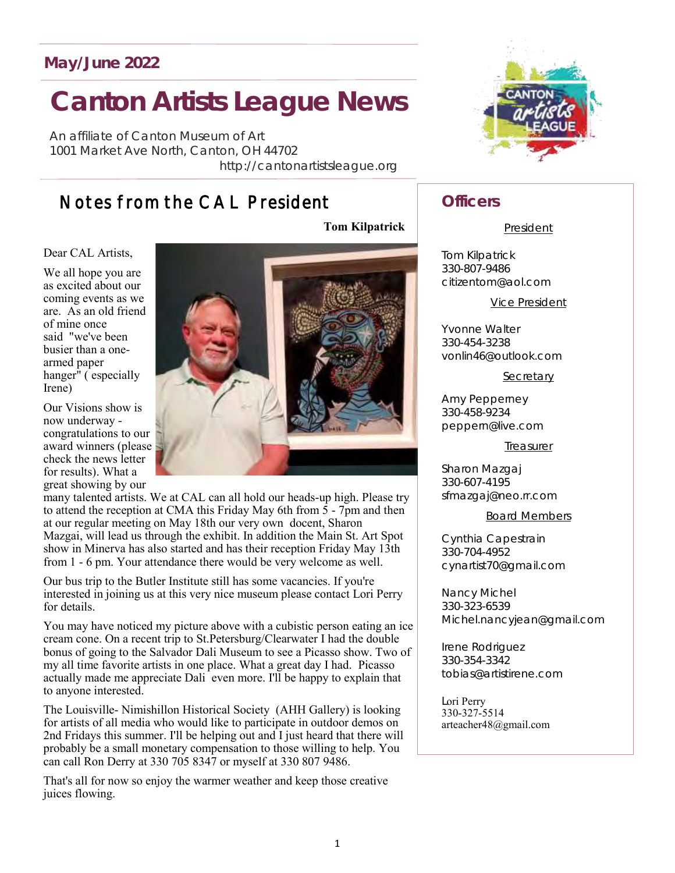### **May/June 2022**

# **Canton Artists League News**

*An affiliate of Canton Museum of Art* 1001 Market Ave North, Canton, OH 44702 http://cantonartistsleague.org

# Notes from the CAL President

Dear CAL Artists,

We all hope you are as excited about our coming events as we are. As an old friend of mine once said "we've been busier than a onearmed paper hanger" ( especially Irene)

Our Visions show is now underway congratulations to our award winners (please check the news letter for results). What a great showing by our

many talented artists. We at CAL can all hold our heads-up high. Please try to attend the reception at CMA this Friday May 6th from  $\bar{5}$  - 7pm and then at our regular meeting on May 18th our very own docent, Sharon Mazgai, will lead us through the exhibit. In addition the Main St. Art Spot show in Minerva has also started and has their reception Friday May 13th from 1 - 6 pm. Your attendance there would be very welcome as well.

Our bus trip to the Butler Institute still has some vacancies. If you're interested in joining us at this very nice museum please contact Lori Perry for details.

You may have noticed my picture above with a cubistic person eating an ice cream cone. On a recent trip to St.Petersburg/Clearwater I had the double bonus of going to the Salvador Dali Museum to see a Picasso show. Two of my all time favorite artists in one place. What a great day I had. Picasso actually made me appreciate Dali even more. I'll be happy to explain that to anyone interested.

The Louisville- Nimishillon Historical Society (AHH Gallery) is looking for artists of all media who would like to participate in outdoor demos on 2nd Fridays this summer. I'll be helping out and I just heard that there will probably be a small monetary compensation to those willing to help. You can call Ron Derry at 330 705 8347 or myself at 330 807 9486.

That's all for now so enjoy the warmer weather and keep those creative juices flowing.





### **Officers**

#### President

Tom Kilpatrick 330-807-9486 citizentom@aol.com

Vice President

Yvonne Walter 330-454-3238 vonlin46@outlook.com

Secretary

Amy Pepperney 330-458-9234 peppern@live.com

Treasurer

Sharon Mazgaj 330-607-4195 sfmazgaj@neo.rr.com

#### Board Members

Cynthia Capestrain 330-704-4952 cynartist70@gmail.com

Nancy Michel 330-323-6539 Michel.nancyjean@gmail.com

Irene Rodriguez 330-354-3342 tobias@artistirene.com

Lori Perry 330-327-5514 arteacher48@gmail.com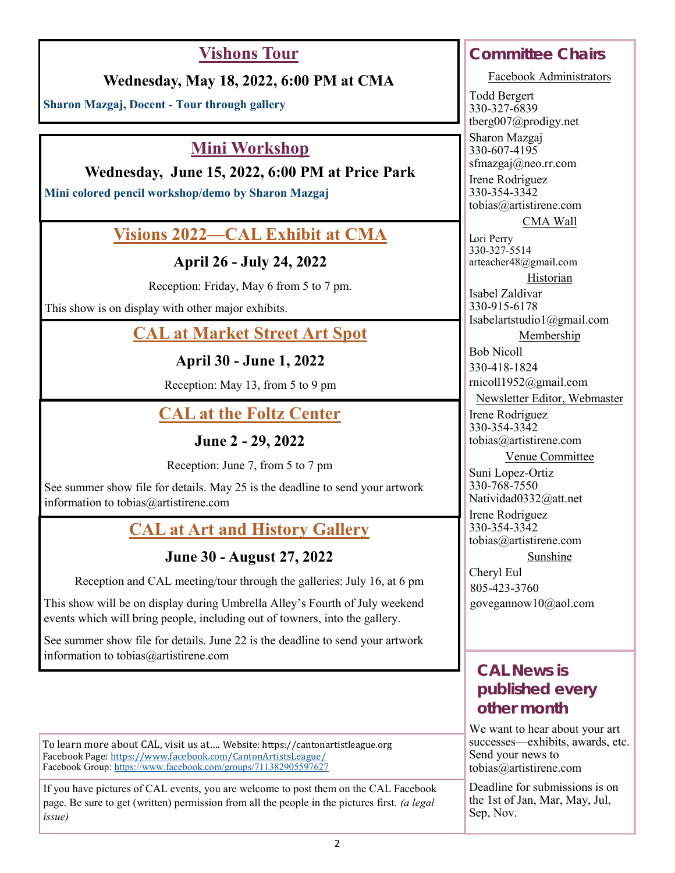# **Vishons Tour**

### **Wednesday, May 18, 2022, 6:00 PM at CMA**

**Sharon Mazgaj, Docent - Tour through gallery**

### **Mini Workshop**

**Wednesday, June 15, 2022, 6:00 PM at Price Park**

**Mini colored pencil workshop/demo by Sharon Mazgaj**

### **Visions 2022—CAL Exhibit at CMA**

**April 26 - July 24, 2022**

Reception: Friday, May 6 from 5 to 7 pm.

This show is on display with other major exhibits.

## **CAL at Market Street Art Spot**

**April 30 - June 1, 2022**

Reception: May 13, from 5 to 9 pm

# **CAL at the Foltz Center**

**June 2 - 29, 2022**

Reception: June 7, from 5 to 7 pm

See summer show file for details. May 25 is the deadline to send your artwork information to tobias@artistirene.com

# **CAL at Art and History Gallery**

### **June 30 - August 27, 2022**

Reception and CAL meeting/tour through the galleries: July 16, at 6 pm

This show will be on display during Umbrella Alley's Fourth of July weekend events which will bring people, including out of towners, into the gallery.

See summer show file for details. June 22 is the deadline to send your artwork information to tobias@artistirene.com

To learn more about CAL, visit us at…. Website: https:/[/cantonartistleague.org](http://www.cal.cannet.com) Facebook Page: [https://www.facebook.com/CantonArtistsLeague/](https://www.facebok.com/CantonArtistsLeague/) Facebook Group: <https://www.facebook.com/groups/711382905597627>

If you have pictures of CAL events, you are welcome to post them on the CAL Facebook page. Be sure to get (written) permission from all the people in the pictures first. *(a legal issue)*

# **Committee Chairs**

Facebook Administrators

Todd Bergert 330-327-6839 tberg007@prodigy.net

Sharon Mazgaj 330-607-4195 sfmazgaj@neo.rr.com Irene Rodriguez 330-354-3342 tobias@artistirene.com

CMA Wall

Lori Perry 330-327-5514 arteacher48@gmail.com

Historian

Isabel Zaldivar 330-915-6178 Isabelartstudio1@gmail.com

Membership

Bob Nicoll 330-418-1824 rnicoll1952@gmail.com

Newsletter Editor, Webmaster

Irene Rodriguez 330-354-3342 tobias@artistirene.com

Venue Committee

Suni Lopez-Ortiz 330-768-7550 Natividad0332@att.net

Irene Rodriguez 330-354-3342 tobias@artistirene.com

Sunshine

Cheryl Eul 805-423-3760 govegannow10@aol.com

### **CAL News is published every other month**

We want to hear about your art successes—exhibits, awards, etc. Send your news to tobias@artistirene.com

Deadline for submissions is on the 1st of Jan, Mar, May, Jul, Sep, Nov.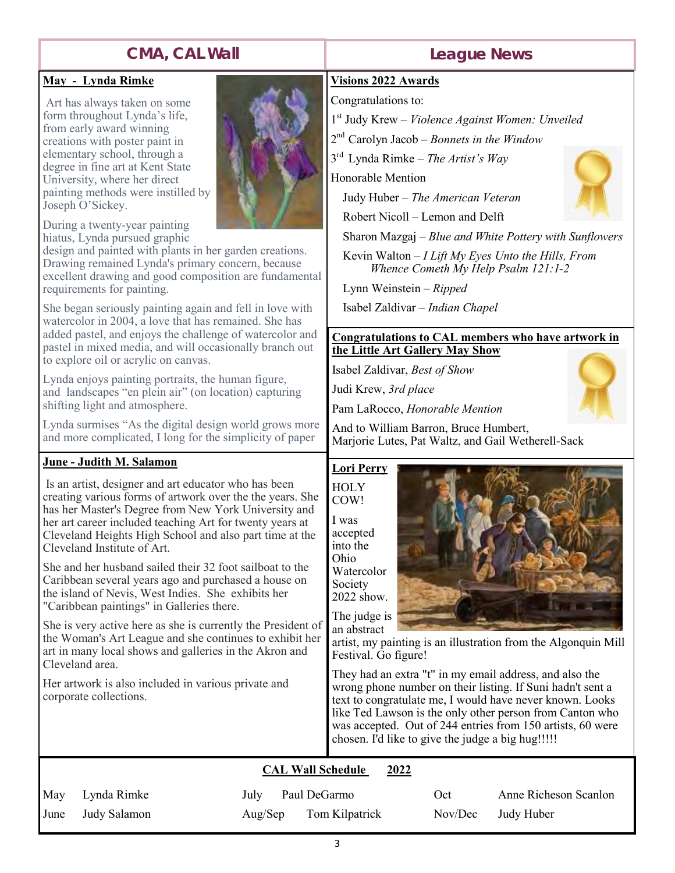# **CMA, CAL Wall**

### **May - Lynda Rimke**

Art has always taken on some form throughout Lynda's life, from early award winning creations with poster paint in elementary school, through a degree in fine art at Kent State University, where her direct painting methods were instilled by Joseph O'Sickey.

During a twenty-year painting hiatus, Lynda pursued graphic

design and painted with plants in her garden creations. Drawing remained Lynda's primary concern, because excellent drawing and good composition are fundamental requirements for painting.

She began seriously painting again and fell in love with watercolor in 2004, a love that has remained. She has added pastel, and enjoys the challenge of watercolor and pastel in mixed media, and will occasionally branch out to explore oil or acrylic on canvas.

Lynda enjoys painting portraits, the human figure, and landscapes "en plein air" (on location) capturing shifting light and atmosphere.

Lynda surmises "As the digital design world grows more and more complicated, I long for the simplicity of paper

#### **June - Judith M. Salamon**

Is an artist, designer and art educator who has been creating various forms of artwork over the the years. She has her Master's Degree from New York University and her art career included teaching Art for twenty years at Cleveland Heights High School and also part time at the Cleveland Institute of Art.

She and her husband sailed their 32 foot sailboat to the Caribbean several years ago and purchased a house on the island of Nevis, West Indies. She exhibits her "Caribbean paintings" in Galleries there.

She is very active here as she is currently the President of the Woman's Art League and she continues to exhibit her art in many local shows and galleries in the Akron and Cleveland area.

Her artwork is also included in various private and corporate collections.

### **League News**

#### **Visions 2022 Awards**

Congratulations to:

- 1 st Judy Krew *Violence Against Women: Unveiled*
- 2 nd Carolyn Jacob *– Bonnets in the Window*

3 rd Lynda Rimke – *The Artist's Way*

Honorable Mention

Judy Huber – *The American Veteran*

Robert Nicoll – Lemon and Delft

Sharon Mazgaj – *Blue and White Pottery with Sunflowers*

 Kevin Walton – *I Lift My Eyes Unto the Hills, From Whence Cometh My Help Psalm 121:1-2*

Lynn Weinstein – *Ripped*

Isabel Zaldivar – *Indian Chapel*

#### **Congratulations to CAL members who have artwork in the Little Art Gallery May Show**

Isabel Zaldivar, *Best of Show*

Judi Krew, *3rd place*

Pam LaRocco, *Honorable Mention*

And to William Barron, Bruce Humbert, Marjorie Lutes, Pat Waltz, and Gail Wetherell-Sack

### **Lori Perry**

**HOLY** COW!

I was accepted into the Ohio Watercolor Society 2022 show.

The judge is an abstract



artist, my painting is an illustration from the Algonquin Mill Festival. Go figure!

They had an extra "t" in my email address, and also the wrong phone number on their listing. If Suni hadn't sent a text to congratulate me, I would have never known. Looks like Ted Lawson is the only other person from Canton who was accepted. Out of 244 entries from 150 artists, 60 were chosen. I'd like to give the judge a big hug!!!!!

#### **CAL Wall Schedule 2022**

| May    | Lynda Rimke  |
|--------|--------------|
| I June | Judy Salamon |

July Paul DeGarmo Aug/Sep Tom Kilpatrick

Oct Anne Richeson Scanlon Nov/Dec Judy Huber



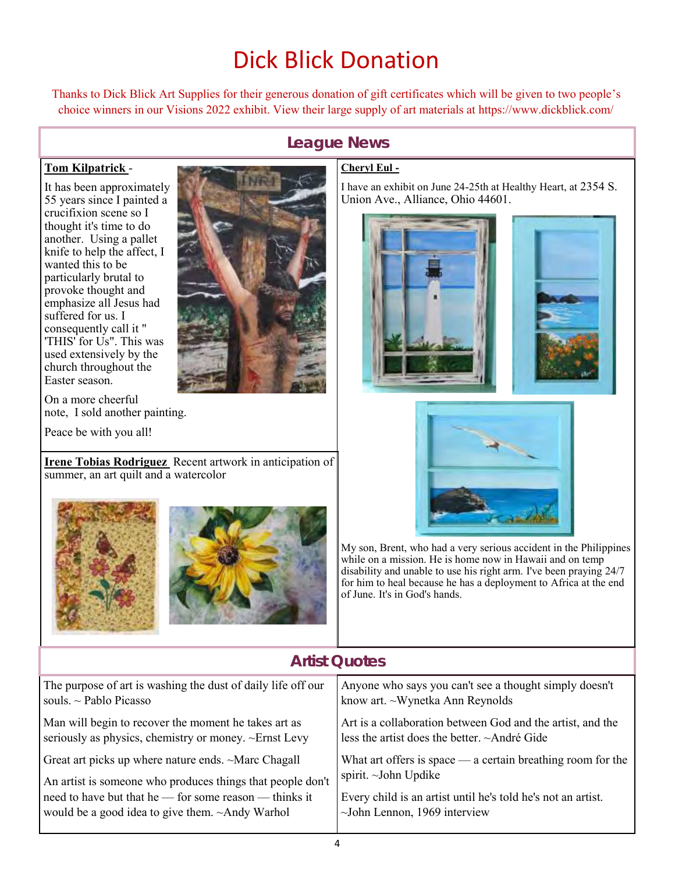# Dick Blick Donation

Thanks to Dick Blick Art Supplies for their generous donation of gift certificates which will be given to two people's choice winners in our Visions 2022 exhibit. View their large supply of art materials at https://www.dickblick.com/

### **League News**

#### **Tom Kilpatrick** -

It has been approximately 55 years since I painted a crucifixion scene so I thought it's time to do another. Using a pallet knife to help the affect, I wanted this to be particularly brutal to provoke thought and emphasize all Jesus had suffered for us. I consequently call it " 'THIS' for Us". This was used extensively by the church throughout the Easter season.



On a more cheerful note, I sold another painting.

Peace be with you all!

**Irene Tobias Rodriguez** Recent artwork in anticipation of summer, an art quilt and a watercolor



#### **Cheryl Eul -**

I have an exhibit on June 24-25th at Healthy Heart, at 2354 S. Union Ave., Alliance, Ohio 44601.





My son, Brent, who had a very serious accident in the Philippines while on a mission. He is home now in Hawaii and on temp disability and unable to use his right arm. I've been praying 24/7 for him to heal because he has a deployment to Africa at the end of June. It's in God's hands.

| <b>Artist Ouotes</b>                                         |                                                                  |  |  |  |  |
|--------------------------------------------------------------|------------------------------------------------------------------|--|--|--|--|
| The purpose of art is washing the dust of daily life off our | Anyone who says you can't see a thought simply doesn't           |  |  |  |  |
| souls. $\sim$ Pablo Picasso                                  | know art. ~Wynetka Ann Reynolds                                  |  |  |  |  |
| Man will begin to recover the moment he takes art as         | Art is a collaboration between God and the artist, and the       |  |  |  |  |
| seriously as physics, chemistry or money. ~Ernst Levy        | less the artist does the better. ~André Gide                     |  |  |  |  |
| Great art picks up where nature ends. ~Marc Chagall          | What art offers is space $\_\_$ a certain breathing room for the |  |  |  |  |
| An artist is someone who produces things that people don't   | spirit. ~John Updike                                             |  |  |  |  |
| need to have but that he — for some reason — thinks it       | Every child is an artist until he's told he's not an artist.     |  |  |  |  |
| would be a good idea to give them. $~\sim$ Andy Warhol       | $\sim$ John Lennon, 1969 interview                               |  |  |  |  |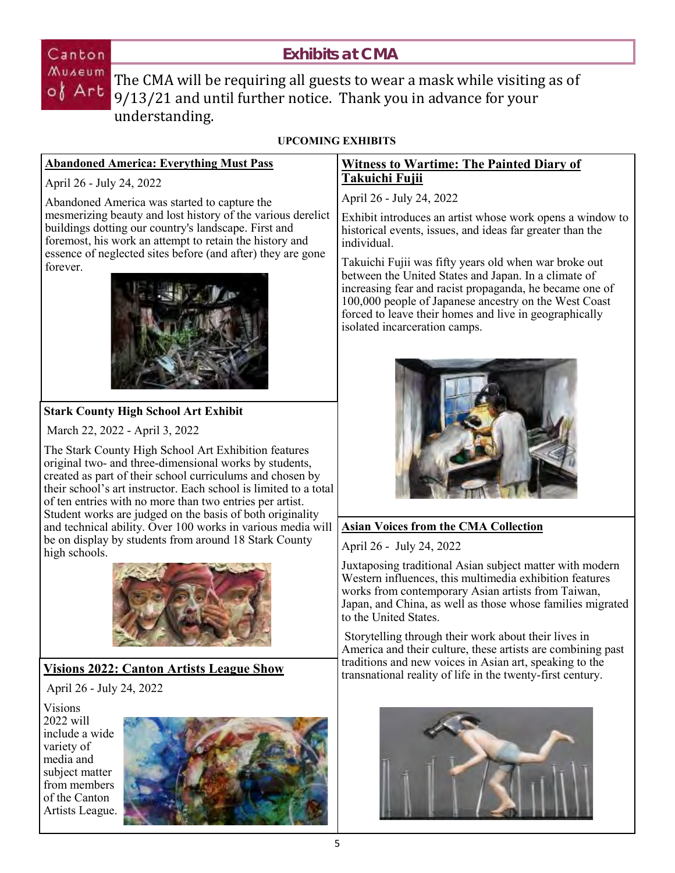### **Exhibits at CMA**

Canton

 $X^{u}$  are  $u$ <sup>n</sup> The CMA will be requiring all guests to wear a mask while visiting as of 9/13/21 and until further notice. Thank you in advance for your understanding.

### **UPCOMING EXHIBITS**

#### **Abandoned America: Everything Must Pass**

April 26 - July 24, 2022

Abandoned America was started to capture the mesmerizing beauty and lost history of the various derelict buildings dotting our country's landscape. First and foremost, his work an attempt to retain the history and essence of neglected sites before (and after) they are gone forever.



#### **Stark County High School Art Exhibit**

March 22, 2022 - April 3, 2022

The Stark County High School Art Exhibition features original two- and three-dimensional works by students, created as part of their school curriculums and chosen by their school's art instructor. Each school is limited to a total of ten entries with no more than two entries per artist. Student works are judged on the basis of both originality and technical ability. Over 100 works in various media will be on display by students from around 18 Stark County high schools.



### **Visions 2022: Canton Artists League Show**

April 26 - July 24, 2022

Visions 2022 will include a wide variety of media and subject matter from members of the Canton Artists League.



### **Witness to Wartime: The Painted Diary of Takuichi Fujii**

April 26 - July 24, 2022

Exhibit introduces an artist whose work opens a window to historical events, issues, and ideas far greater than the individual.

Takuichi Fujii was fifty years old when war broke out between the United States and Japan. In a climate of increasing fear and racist propaganda, he became one of 100,000 people of Japanese ancestry on the West Coast forced to leave their homes and live in geographically isolated incarceration camps.



### **Asian Voices from the CMA Collection**

April 26 - July 24, 2022

Juxtaposing traditional Asian subject matter with modern Western influences, this multimedia exhibition features works from contemporary Asian artists from Taiwan, Japan, and China, as well as those whose families migrated to the United States.

Storytelling through their work about their lives in America and their culture, these artists are combining past traditions and new voices in Asian art, speaking to the transnational reality of life in the twenty-first century.